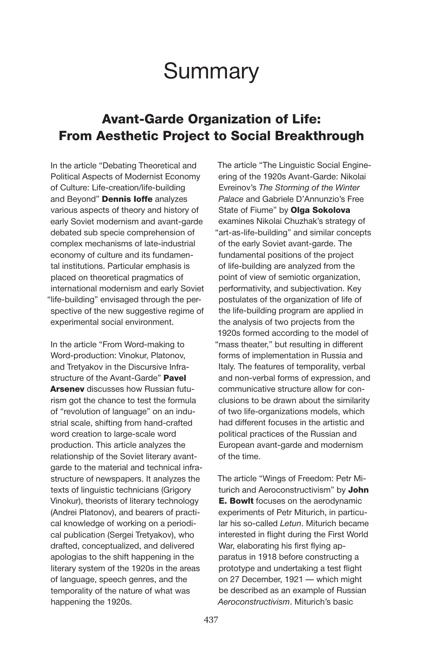# **Summary**

## Avant-Garde Organization of Life: From Aesthetic Project to Social Breakthrough

In the article "Debating Theoretical and Political Aspects of Modernist Economy of Culture: Life-creation/life-building and Beyond" Dennis loffe analyzes various aspects of theory and history of early Soviet modernism and avant-garde debated sub specie comprehension of complex mechanisms of late-industrial economy of culture and its fundamental institutions. Particular emphasis is placed on theoretical pragmatics of international modernism and early Soviet "life-building" envisaged through the perspective of the new suggestive regime of experimental social environment.

In the article "From Word-making to Word-production: Vinokur, Platonov, and Tretyakov in the Discursive Infrastructure of the Avant-Garde" Pavel Arsenev discusses how Russian futurism got the chance to test the formula of "revolution of language" on an industrial scale, shifting from hand-crafted word creation to large-scale word production. This article analyzes the relationship of the Soviet literary avantgarde to the material and technical infrastructure of newspapers. It analyzes the texts of linguistic technicians (Grigory Vinokur), theorists of literary technology (Andrei Platonov), and bearers of practical knowledge of working on a periodical publication (Sergei Tretyakov), who drafted, conceptualized, and delivered apologias to the shift happening in the literary system of the 1920s in the areas of language, speech genres, and the temporality of the nature of what was happening the 1920s.

The article "The Linguistic Social Engineering of the 1920s Avant-Garde: Nikolai Evreinov's *The Storming of the Winter Palace* and Gabriele D'Annunzio's Free State of Fiume" by Olga Sokolova examines Nikolai Chuzhak's strategy of "art-as-life-building" and similar concepts of the early Soviet avant-garde. The fundamental positions of the project of life-building are analyzed from the point of view of semiotic organization, performativity, and subjectivation. Key postulates of the organization of life of the life-building program are applied in the analysis of two projects from the 1920s formed according to the model of "mass theater," but resulting in different forms of implementation in Russia and Italy. The features of temporality, verbal and non-verbal forms of expression, and communicative structure allow for conclusions to be drawn about the similarity of two life-organizations models, which had different focuses in the artistic and political practices of the Russian and European avant-garde and modernism of the time.

The article "Wings of Freedom: Petr Miturich and Aeroconstructivism" by John **E. Bowlt** focuses on the aerodynamic experiments of Petr Miturich, in particular his so-called *Letun*. Miturich became interested in flight during the First World War, elaborating his first flying apparatus in 1918 before constructing a prototype and undertaking a test flight on 27 December, 1921 — which might be described as an example of Russian *Aeroconstructivism*. Miturich's basic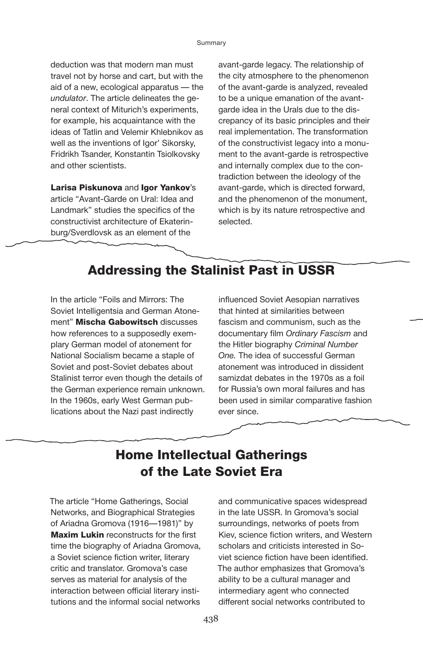deduction was that modern man must travel not by horse and cart, but with the aid of a new, ecological apparatus — the *undulator*. The article delineates the general context of Miturich's experiments, for example, his acquaintance with the ideas of Tatlin and Velemir Khlebnikov as well as the inventions of Igor' Sikorsky, Fridrikh Tsander, Konstantin Tsiolkovsky and other scientists.

Larisa Piskunova and Igor Yankov's article "Avant-Garde on Ural: Idea and Landmark" studies the specifics of the constructivist architecture of Ekaterinburg/Sverdlovsk as an element of the

avant-garde legacy. The relationship of the city atmosphere to the phenomenon of the avant-garde is analyzed, revealed to be a unique emanation of the avantgarde idea in the Urals due to the discrepancy of its basic principles and their real implementation. The transformation of the constructivist legacy into a monument to the avant-garde is retrospective and internally complex due to the contradiction between the ideology of the avant-garde, which is directed forward, and the phenomenon of the monument, which is by its nature retrospective and selected.

## Addressing the Stalinist Past in USSR

In the article "Foils and Mirrors: The Soviet Intelligentsia and German Atonement" Mischa Gabowitsch discusses how references to a supposedly exemplary German model of atonement for National Socialism became a staple of Soviet and post-Soviet debates about Stalinist terror even though the details of the German experience remain unknown. In the 1960s, early West German publications about the Nazi past indirectly

influenced Soviet Aesopian narratives that hinted at similarities between fascism and communism, such as the documentary film *Ordinary Fascism* and the Hitler biography *Criminal Number One.* The idea of successful German atonement was introduced in dissident samizdat debates in the 1970s as a foil for Russia's own moral failures and has been used in similar comparative fashion ever since.

## Home Intellectual Gatherings of the Late Soviet Era

The article "Home Gatherings, Social Networks, and Biographical Strategies of Ariadna Gromova (1916—1981)" by **Maxim Lukin reconstructs for the first** time the biography of Ariadna Gromova, a Soviet science fiction writer, literary critic and translator. Gromova's case serves as material for analysis of the interaction between official literary institutions and the informal social networks

and communicative spaces widespread in the late USSR. In Gromova's social surroundings, networks of poets from Kiev, science fiction writers, and Western scholars and criticists interested in Soviet science fiction have been identified. The author emphasizes that Gromova's ability to be a cultural manager and intermediary agent who connected different social networks contributed to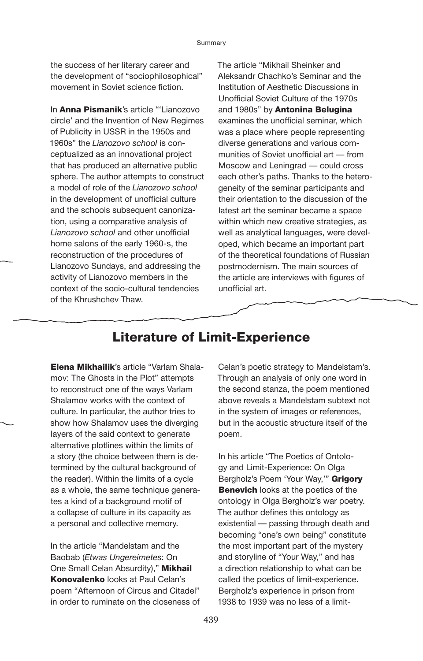the success of her literary career and the development of "sociophilosophical" movement in Soviet science fiction.

In Anna Pismanik's article "'Lianozovo circle' and the Invention of New Regimes of Publicity in USSR in the 1950s and 1960s" the *Lianozovo school* is conceptualized as an innovational project that has produced an alternative public sphere. The author attempts to construct a model of role of the *Lianozovo school* in the development of unofficial culture and the schools subsequent canonization, using a comparative analysis of *Lianozovo school* and other unofficial home salons of the early 1960-s, the reconstruction of the procedures of Lianozovo Sundays, and addressing the activity of Lianozovo members in the context of the socio-cultural tendencies of the Khrushchev Thaw.

The article "Mikhail Sheinker and Aleksandr Chachko's Seminar and the Institution of Aesthetic Discussions in Unofficial Soviet Culture of the 1970s and 1980s" by **Antonina Belugina** examines the unofficial seminar, which was a place where people representing diverse generations and various communities of Soviet unofficial art — from Moscow and Leningrad — could cross each other's paths. Thanks to the heterogeneity of the seminar participants and their orientation to the discussion of the latest art the seminar became a space within which new creative strategies, as well as analytical languages, were developed, which became an important part of the theoretical foundations of Russian postmodernism. The main sources of the article are interviews with figures of unofficial art.

### Literature of Limit-Experience

**Elena Mikhailik's article "Varlam Shala**mov: The Ghosts in the Plot" attempts to reconstruct one of the ways Varlam Shalamov works with the context of culture. In particular, the author tries to show how Shalamov uses the diverging layers of the said context to generate alternative plotlines within the limits of a story (the choice between them is determined by the cultural background of the reader). Within the limits of a cycle as a whole, the same technique generates a kind of a background motif of a collapse of culture in its capacity as a personal and collective memory.

In the article "Mandelstam and the Baobab (*Etwas Ungereimetes*: On One Small Celan Absurdity)," Mikhail **Konovalenko** looks at Paul Celan's poem "Afternoon of Circus and Citadel" in order to ruminate on the closeness of

Celan's poetic strategy to Mandelstam's. Through an analysis of only one word in the second stanza, the poem mentioned above reveals a Mandelstam subtext not in the system of images or references, but in the acoustic structure itself of the poem.

In his article "The Poetics of Ontology and Limit-Experience: On Olga Bergholz's Poem 'Your Way,"" Grigory **Benevich** looks at the poetics of the ontology in Olga Bergholz's war poetry. The author defines this ontology as existential — passing through death and becoming "one's own being" constitute the most important part of the mystery and storyline of "Your Way," and has a direction relationship to what can be called the poetics of limit-experience. Bergholz's experience in prison from 1938 to 1939 was no less of a limit